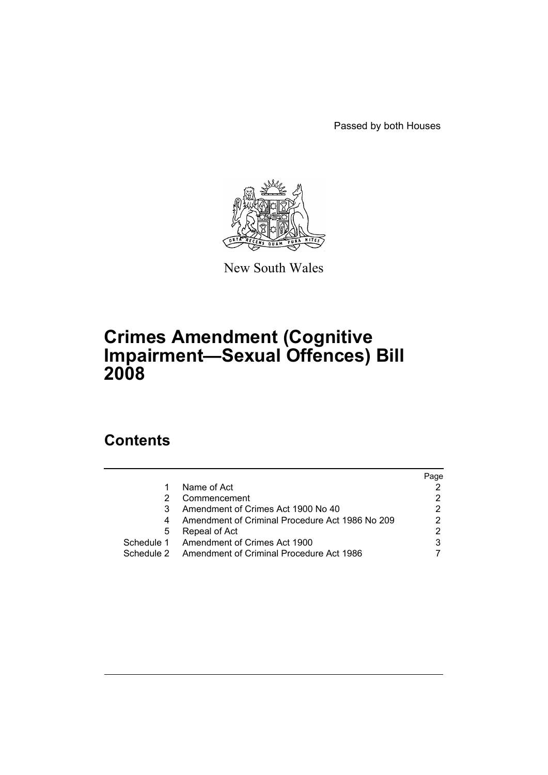Passed by both Houses



New South Wales

# **Crimes Amendment (Cognitive Impairment—Sexual Offences) Bill 2008**

# **Contents**

|   |                                                     | Page |
|---|-----------------------------------------------------|------|
|   | Name of Act                                         |      |
|   | Commencement                                        |      |
|   | Amendment of Crimes Act 1900 No 40                  | 2    |
|   | Amendment of Criminal Procedure Act 1986 No 209     | 2    |
| 5 | Repeal of Act                                       | 2    |
|   | Schedule 1 Amendment of Crimes Act 1900             |      |
|   | Schedule 2 Amendment of Criminal Procedure Act 1986 |      |
|   |                                                     |      |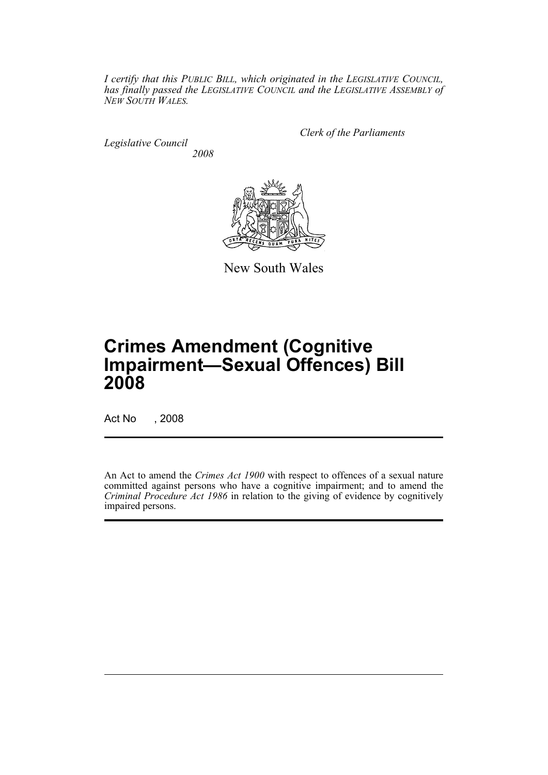*I certify that this PUBLIC BILL, which originated in the LEGISLATIVE COUNCIL, has finally passed the LEGISLATIVE COUNCIL and the LEGISLATIVE ASSEMBLY of NEW SOUTH WALES.*

*Legislative Council 2008* *Clerk of the Parliaments*



New South Wales

# **Crimes Amendment (Cognitive Impairment—Sexual Offences) Bill 2008**

Act No , 2008

An Act to amend the *Crimes Act 1900* with respect to offences of a sexual nature committed against persons who have a cognitive impairment; and to amend the *Criminal Procedure Act 1986* in relation to the giving of evidence by cognitively impaired persons.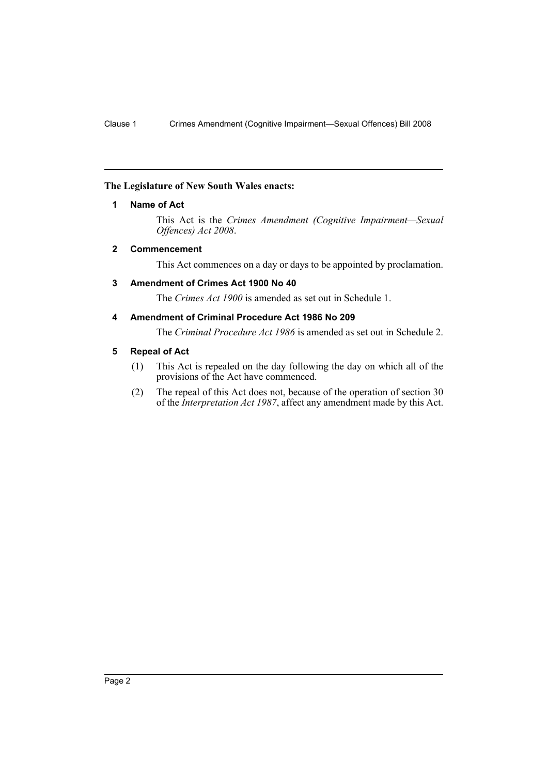## <span id="page-2-0"></span>**The Legislature of New South Wales enacts:**

# **1 Name of Act**

This Act is the *Crimes Amendment (Cognitive Impairment—Sexual Offences) Act 2008*.

# <span id="page-2-1"></span>**2 Commencement**

This Act commences on a day or days to be appointed by proclamation.

## <span id="page-2-2"></span>**3 Amendment of Crimes Act 1900 No 40**

The *Crimes Act 1900* is amended as set out in Schedule 1.

# <span id="page-2-3"></span>**4 Amendment of Criminal Procedure Act 1986 No 209**

The *Criminal Procedure Act 1986* is amended as set out in Schedule 2.

### <span id="page-2-4"></span>**5 Repeal of Act**

- (1) This Act is repealed on the day following the day on which all of the provisions of the Act have commenced.
- (2) The repeal of this Act does not, because of the operation of section 30 of the *Interpretation Act 1987*, affect any amendment made by this Act.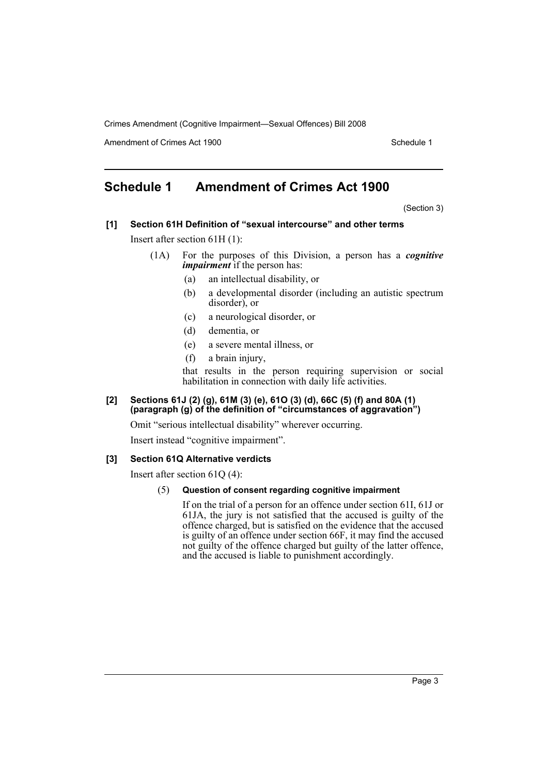Amendment of Crimes Act 1900 New York 1900 New York 1900 New York 1900 Schedule 1

# <span id="page-3-0"></span>**Schedule 1 Amendment of Crimes Act 1900**

(Section 3)

- **[1] Section 61H Definition of "sexual intercourse" and other terms** Insert after section 61H (1):
	- (1A) For the purposes of this Division, a person has a *cognitive impairment* if the person has:
		- (a) an intellectual disability, or
		- (b) a developmental disorder (including an autistic spectrum disorder), or
		- (c) a neurological disorder, or
		- (d) dementia, or
		- (e) a severe mental illness, or
		- (f) a brain injury,

that results in the person requiring supervision or social habilitation in connection with daily life activities.

#### **[2] Sections 61J (2) (g), 61M (3) (e), 61O (3) (d), 66C (5) (f) and 80A (1) (paragraph (g) of the definition of "circumstances of aggravation")**

Omit "serious intellectual disability" wherever occurring.

Insert instead "cognitive impairment".

#### **[3] Section 61Q Alternative verdicts**

Insert after section 61Q (4):

#### (5) **Question of consent regarding cognitive impairment**

If on the trial of a person for an offence under section 61I, 61J or 61JA, the jury is not satisfied that the accused is guilty of the offence charged, but is satisfied on the evidence that the accused is guilty of an offence under section 66F, it may find the accused not guilty of the offence charged but guilty of the latter offence, and the accused is liable to punishment accordingly.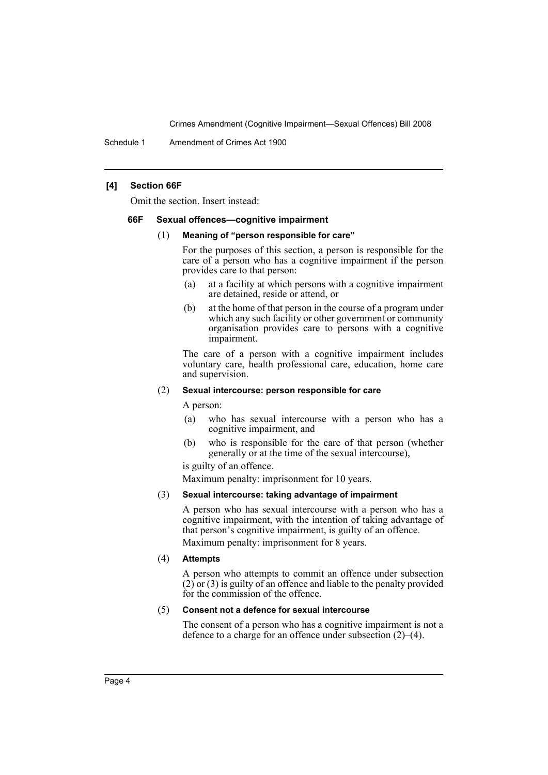Schedule 1 Amendment of Crimes Act 1900

#### **[4] Section 66F**

Omit the section. Insert instead:

#### **66F Sexual offences—cognitive impairment**

#### (1) **Meaning of "person responsible for care"**

For the purposes of this section, a person is responsible for the care of a person who has a cognitive impairment if the person provides care to that person:

- (a) at a facility at which persons with a cognitive impairment are detained, reside or attend, or
- (b) at the home of that person in the course of a program under which any such facility or other government or community organisation provides care to persons with a cognitive impairment.

The care of a person with a cognitive impairment includes voluntary care, health professional care, education, home care and supervision.

#### (2) **Sexual intercourse: person responsible for care**

A person:

- (a) who has sexual intercourse with a person who has a cognitive impairment, and
- (b) who is responsible for the care of that person (whether generally or at the time of the sexual intercourse),

is guilty of an offence.

Maximum penalty: imprisonment for 10 years.

#### (3) **Sexual intercourse: taking advantage of impairment**

A person who has sexual intercourse with a person who has a cognitive impairment, with the intention of taking advantage of that person's cognitive impairment, is guilty of an offence. Maximum penalty: imprisonment for 8 years.

#### (4) **Attempts**

A person who attempts to commit an offence under subsection  $(2)$  or  $(3)$  is guilty of an offence and liable to the penalty provided for the commission of the offence.

#### (5) **Consent not a defence for sexual intercourse**

The consent of a person who has a cognitive impairment is not a defence to a charge for an offence under subsection (2)–(4).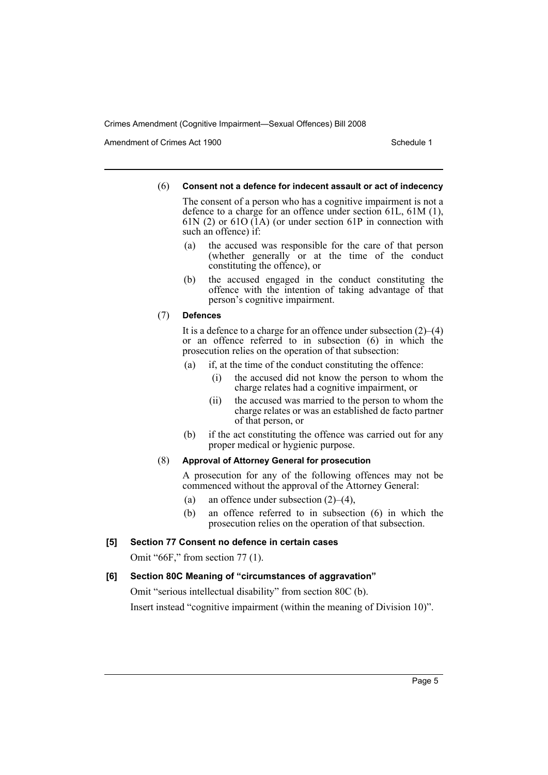Amendment of Crimes Act 1900 New York 1900 New York 1900 New York 1900 Schedule 1

#### (6) **Consent not a defence for indecent assault or act of indecency**

The consent of a person who has a cognitive impairment is not a defence to a charge for an offence under section 61L, 61M (1), 61N (2) or 61O (1A) (or under section 61P in connection with such an offence) if:

- (a) the accused was responsible for the care of that person (whether generally or at the time of the conduct constituting the offence), or
- (b) the accused engaged in the conduct constituting the offence with the intention of taking advantage of that person's cognitive impairment.

### (7) **Defences**

It is a defence to a charge for an offence under subsection (2)–(4) or an offence referred to in subsection (6) in which the prosecution relies on the operation of that subsection:

- (a) if, at the time of the conduct constituting the offence:
	- (i) the accused did not know the person to whom the charge relates had a cognitive impairment, or
	- (ii) the accused was married to the person to whom the charge relates or was an established de facto partner of that person, or
- (b) if the act constituting the offence was carried out for any proper medical or hygienic purpose.

# (8) **Approval of Attorney General for prosecution**

A prosecution for any of the following offences may not be commenced without the approval of the Attorney General:

- (a) an offence under subsection  $(2)$ – $(4)$ ,
- (b) an offence referred to in subsection (6) in which the prosecution relies on the operation of that subsection.

# **[5] Section 77 Consent no defence in certain cases**

Omit "66F," from section 77 (1).

# **[6] Section 80C Meaning of "circumstances of aggravation"**

Omit "serious intellectual disability" from section 80C (b).

Insert instead "cognitive impairment (within the meaning of Division 10)".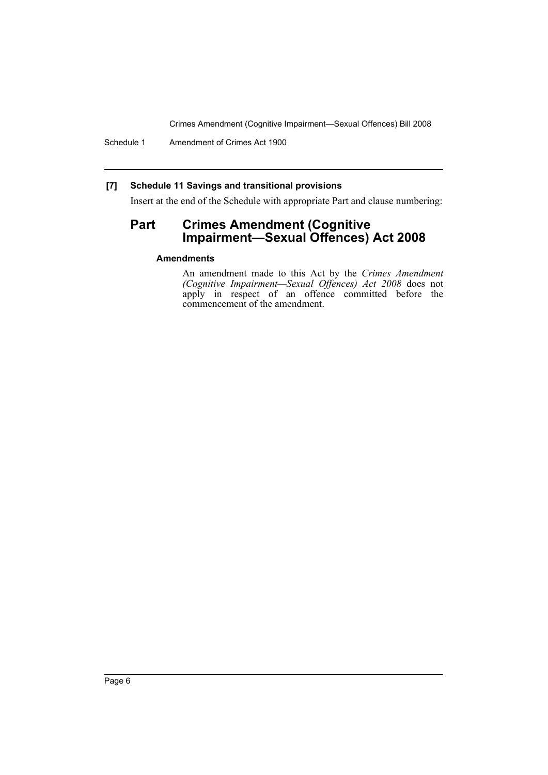Schedule 1 Amendment of Crimes Act 1900

# **[7] Schedule 11 Savings and transitional provisions**

Insert at the end of the Schedule with appropriate Part and clause numbering:

# **Part Crimes Amendment (Cognitive Impairment—Sexual Offences) Act 2008**

# **Amendments**

An amendment made to this Act by the *Crimes Amendment (Cognitive Impairment—Sexual Offences) Act 2008* does not apply in respect of an offence committed before the commencement of the amendment.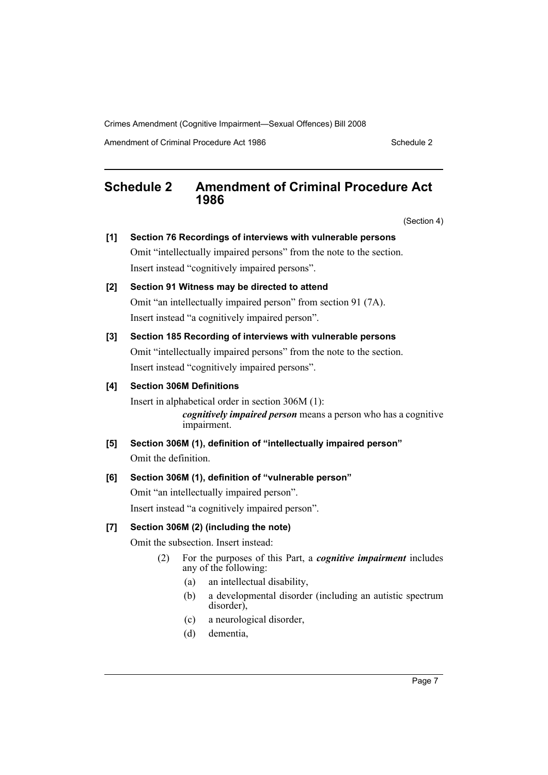Amendment of Criminal Procedure Act 1986 Schedule 2

# <span id="page-7-0"></span>**Schedule 2 Amendment of Criminal Procedure Act 1986**

(Section 4)

| [1]   | Section 76 Recordings of interviews with vulnerable persons<br>Omit "intellectually impaired persons" from the note to the section.<br>Insert instead "cognitively impaired persons". |                   |                                                                                                                                                                                                                                     |  |  |  |
|-------|---------------------------------------------------------------------------------------------------------------------------------------------------------------------------------------|-------------------|-------------------------------------------------------------------------------------------------------------------------------------------------------------------------------------------------------------------------------------|--|--|--|
| [2]   | Section 91 Witness may be directed to attend<br>Omit "an intellectually impaired person" from section 91 (7A).<br>Insert instead "a cognitively impaired person".                     |                   |                                                                                                                                                                                                                                     |  |  |  |
| $[3]$ | Section 185 Recording of interviews with vulnerable persons<br>Omit "intellectually impaired persons" from the note to the section.<br>Insert instead "cognitively impaired persons". |                   |                                                                                                                                                                                                                                     |  |  |  |
| [4]   | <b>Section 306M Definitions</b><br>Insert in alphabetical order in section 306M (1):<br>cognitively impaired person means a person who has a cognitive<br>impairment.                 |                   |                                                                                                                                                                                                                                     |  |  |  |
| [5]   | Section 306M (1), definition of "intellectually impaired person"<br>Omit the definition.                                                                                              |                   |                                                                                                                                                                                                                                     |  |  |  |
| [6]   | Section 306M (1), definition of "vulnerable person"<br>Omit "an intellectually impaired person".<br>Insert instead "a cognitively impaired person".                                   |                   |                                                                                                                                                                                                                                     |  |  |  |
| [7]   | Section 306M (2) (including the note)<br>Omit the subsection. Insert instead:                                                                                                         |                   |                                                                                                                                                                                                                                     |  |  |  |
|       | (2)                                                                                                                                                                                   | (a)<br>(b)<br>(c) | For the purposes of this Part, a <i>cognitive impairment</i> includes<br>any of the following:<br>an intellectual disability,<br>a developmental disorder (including an autistic spectrum<br>disorder),<br>a neurological disorder, |  |  |  |
|       |                                                                                                                                                                                       | (d)               | dementia,                                                                                                                                                                                                                           |  |  |  |